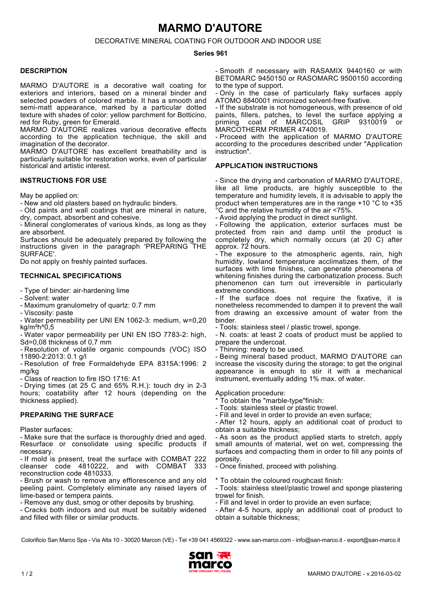# **MARMO D'AUTORE**

DECORATIVE MINERAL COATING FOR OUTDOOR AND INDOOR USE

#### **Series 961**

### **DESCRIPTION**

MARMO D'AUTORE is a decorative wall coating for exteriors and interiors, based on a mineral binder and selected powders of colored marble. It has a smooth and semi-matt appearance, marked by a particular dotted texture with shades of color: yellow parchment for Botticino, red for Ruby, green for Emerald.

MARMO D'AUTORE realizes various decorative effects according to the application technique, the skill and imagination of the decorator.

MARMO D'AUTORE has excellent breathability and is particularly suitable for restoration works, even of particular historical and artistic interest.

## **INSTRUCTIONS FOR USE**

May be applied on:

- New and old plasters based on hydraulic binders.

- Old paints and wall coatings that are mineral in nature, dry, compact, absorbent and cohesive.

- Mineral conglomerates of various kinds, as long as they are absorbent.

Surfaces should be adequately prepared by following the instructions given in the paragraph 'PREPARING THE SURFACE'.

Do not apply on freshly painted surfaces.

### **TECHNICAL SPECIFICATIONS**

- Type of binder: air-hardening lime

- Solvent: water
- Maximum granulometry of quartz: 0.7 mm
- Viscosity: paste

- Water permeability per UNI EN 1062-3: medium, w=0,20 kg/m<sup>2</sup>h $^{\circ}$ 0,5

- Water vapor permeability per UNI EN ISO 7783-2: high, Sd=0,08 thickness of 0,7 mm

- Resolution of volatile organic compounds (VOC) ISO 11890-2:2013: 0.1 g/l

- Resolution of free Formaldehyde EPA 8315A:1996: 2 mg/kg

- Class of reaction to fire ISO 1716: A1

- Drying times (at 25 C and 65% R.H.): touch dry in 2-3 hours; coatability after 12 hours (depending on the thickness applied).

## **PREPARING THE SURFACE**

Plaster surfaces:

- Make sure that the surface is thoroughly dried and aged. Resurface or consolidate using specific products if necessary.

- If mold is present, treat the surface with COMBAT 222 cleanser code 4810222, and with COMBAT 333 reconstruction code 4810333.

- Brush or wash to remove any efflorescence and any old peeling paint. Completely eliminate any raised layers of lime-based or tempera paints.

- Remove any dust, smog or other deposits by brushing.

- Cracks both indoors and out must be suitably widened and filled with filler or similar products.

- Smooth if necessary with RASAMIX 9440160 or with BETOMARC 9450150 or RASOMARC 9500150 according to the type of support.

- Only in the case of particularly flaky surfaces apply ATOMO 8840001 micronized solvent-free fixative.

- If the substrate is not homogeneous, with presence of old paints, fillers, patches, to level the surface applying a priming coat of MARCOSIL GRIP 9310019 or MARCOTHERM PRIMER 4740019

- Proceed with the application of MARMO D'AUTORE according to the procedures described under "Application instruction".

## **APPLICATION INSTRUCTIONS**

- Since the drying and carbonation of MARMO D'AUTORE, like all lime products, are highly susceptible to the temperature and humidity levels, it is advisable to apply the product when temperatures are in the range +10 °C to +35 °C and the relative humidity of the air <75%.

- Avoid applying the product in direct sunlight.

- Following the application, exterior surfaces must be protected from rain and damp until the product is completely dry, which normally occurs (at 20 C) after approx. 72 hours.

- The exposure to the atmospheric agents, rain, high humidity, lowland temperature acclimatizes them, of the surfaces with lime finishes, can generate phenomena of whitening finishes during the carbonatization process. Such phenomenon can turn out irreversible in particularly extreme conditions.

- If the surface does not require the fixative, it is nonetheless recommended to dampen it to prevent the wall from drawing an excessive amount of water from the binder.

- Tools: stainless steel / plastic trowel, sponge.

- N. coats: at least 2 coats of product must be applied to prepare the undercoat.

- Thinning: ready to be used.

- Being mineral based product, MARMO D'AUTORE can increase the viscosity during the storage; to get the original appearance is enough to stir it with a mechanical instrument, eventually adding 1% max. of water.

Application procedure:

- \* To obtain the "marble-type"finish:
- Tools: stainless steel or plastic trowel.
- Fill and level in order to provide an even surface;
- After 12 hours, apply an additional coat of product to obtain a suitable thickness;

- As soon as the product applied starts to stretch, apply small amounts of material, wet on wet, compressing the surfaces and compacting them in order to fill any points of porosity.

- Once finished, proceed with polishing.

\* To obtain the coloured roughcast finish:

- Tools: stainless steel/plastic trowel and sponge plastering trowel for finish.

- Fill and level in order to provide an even surface;
- After 4-5 hours, apply an additional coat of product to obtain a suitable thickness;

Colorificio San Marco Spa - Via Alta 10 - 30020 Marcon (VE) - Tel +39 041 4569322 - www.san-marco.com - info@san-marco.it - export@san-marco.it